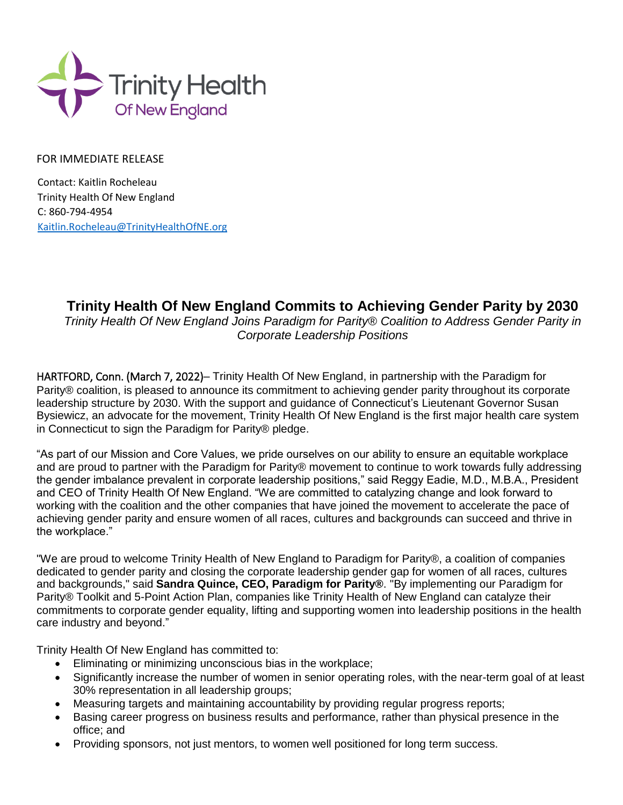

FOR IMMEDIATE RELEASE

Contact: Kaitlin Rocheleau Trinity Health Of New England C: 860-794-4954 [Kaitlin.Rocheleau@TrinityHealthO](mailto:Kaitlin.Rocheleau@TrinityHealth)fNE.org

## **Trinity Health Of New England Commits to Achieving Gender Parity by 2030**

*Trinity Health Of New England Joins Paradigm for Parity® Coalition to Address Gender Parity in Corporate Leadership Positions*

HARTFORD, Conn. (March 7, 2022)– Trinity Health Of New England, in partnership with the Paradigm for Parity® coalition, is pleased to announce its commitment to achieving gender parity throughout its corporate leadership structure by 2030. With the support and guidance of Connecticut's Lieutenant Governor Susan Bysiewicz, an advocate for the movement, Trinity Health Of New England is the first major health care system in Connecticut to sign the Paradigm for Parity® pledge.

"As part of our Mission and Core Values, we pride ourselves on our ability to ensure an equitable workplace and are proud to partner with the Paradigm for Parity® movement to continue to work towards fully addressing the gender imbalance prevalent in corporate leadership positions," said Reggy Eadie, M.D., M.B.A., President and CEO of Trinity Health Of New England. "We are committed to catalyzing change and look forward to working with the coalition and the other companies that have joined the movement to accelerate the pace of achieving gender parity and ensure women of all races, cultures and backgrounds can succeed and thrive in the workplace."

"We are proud to welcome Trinity Health of New England to Paradigm for Parity®, a coalition of companies dedicated to gender parity and closing the corporate leadership gender gap for women of all races, cultures and backgrounds," said **Sandra Quince, CEO, Paradigm for Parity®**. "By implementing our Paradigm for Parity® Toolkit and 5-Point Action Plan, companies like Trinity Health of New England can catalyze their commitments to corporate gender equality, lifting and supporting women into leadership positions in the health care industry and beyond."

Trinity Health Of New England has committed to:

- Eliminating or minimizing unconscious bias in the workplace;
- Significantly increase the number of women in senior operating roles, with the near-term goal of at least 30% representation in all leadership groups;
- Measuring targets and maintaining accountability by providing regular progress reports;
- Basing career progress on business results and performance, rather than physical presence in the office; and
- Providing sponsors, not just mentors, to women well positioned for long term success.